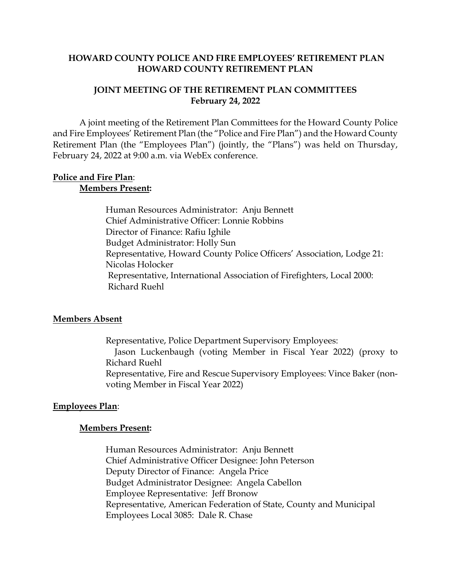## **HOWARD COUNTY POLICE AND FIRE EMPLOYEES' RETIREMENT PLAN HOWARD COUNTY RETIREMENT PLAN**

## **JOINT MEETING OF THE RETIREMENT PLAN COMMITTEES February 24, 2022**

A joint meeting of the Retirement Plan Committees for the Howard County Police and Fire Employees' Retirement Plan (the "Police and Fire Plan") and the Howard County Retirement Plan (the "Employees Plan") (jointly, the "Plans") was held on Thursday, February 24, 2022 at 9:00 a.m. via WebEx conference.

#### **Police and Fire Plan**: **Members Present:**

Human Resources Administrator: Anju Bennett Chief Administrative Officer: Lonnie Robbins Director of Finance: Rafiu Ighile Budget Administrator: Holly Sun Representative, Howard County Police Officers' Association, Lodge 21: Nicolas Holocker Representative, International Association of Firefighters, Local 2000: Richard Ruehl

## **Members Absent**

Representative, Police Department Supervisory Employees: Jason Luckenbaugh (voting Member in Fiscal Year 2022) (proxy to Richard Ruehl Representative, Fire and Rescue Supervisory Employees: Vince Baker (nonvoting Member in Fiscal Year 2022)

## **Employees Plan**:

#### **Members Present:**

Human Resources Administrator: Anju Bennett Chief Administrative Officer Designee: John Peterson Deputy Director of Finance: Angela Price Budget Administrator Designee: Angela Cabellon Employee Representative: Jeff Bronow Representative, American Federation of State, County and Municipal Employees Local 3085: Dale R. Chase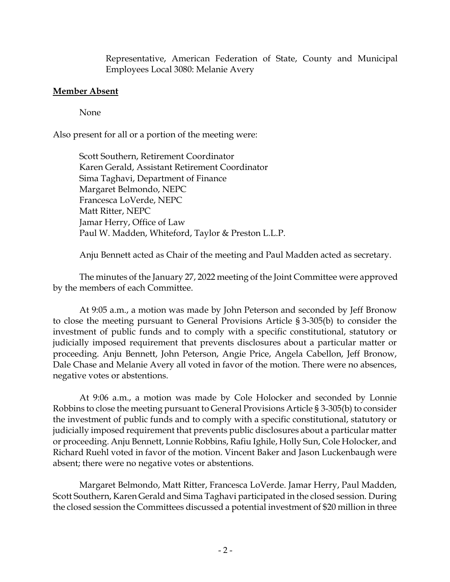Representative, American Federation of State, County and Municipal Employees Local 3080: Melanie Avery

# **Member Absent**

None

Also present for all or a portion of the meeting were:

Scott Southern, Retirement Coordinator Karen Gerald, Assistant Retirement Coordinator Sima Taghavi, Department of Finance Margaret Belmondo, NEPC Francesca LoVerde, NEPC Matt Ritter, NEPC Jamar Herry, Office of Law Paul W. Madden, Whiteford, Taylor & Preston L.L.P.

Anju Bennett acted as Chair of the meeting and Paul Madden acted as secretary.

The minutes of the January 27, 2022 meeting of the Joint Committee were approved by the members of each Committee.

At 9:05 a.m., a motion was made by John Peterson and seconded by Jeff Bronow to close the meeting pursuant to General Provisions Article § 3-305(b) to consider the investment of public funds and to comply with a specific constitutional, statutory or judicially imposed requirement that prevents disclosures about a particular matter or proceeding. Anju Bennett, John Peterson, Angie Price, Angela Cabellon, Jeff Bronow, Dale Chase and Melanie Avery all voted in favor of the motion. There were no absences, negative votes or abstentions.

At 9:06 a.m., a motion was made by Cole Holocker and seconded by Lonnie Robbins to close the meeting pursuant to General Provisions Article § 3-305(b) to consider the investment of public funds and to comply with a specific constitutional, statutory or judicially imposed requirement that prevents public disclosures about a particular matter or proceeding. Anju Bennett, Lonnie Robbins, Rafiu Ighile, Holly Sun, Cole Holocker, and Richard Ruehl voted in favor of the motion. Vincent Baker and Jason Luckenbaugh were absent; there were no negative votes or abstentions.

Margaret Belmondo, Matt Ritter, Francesca LoVerde. Jamar Herry, Paul Madden, Scott Southern, Karen Gerald and Sima Taghavi participated in the closed session. During the closed session the Committees discussed a potential investment of \$20 million in three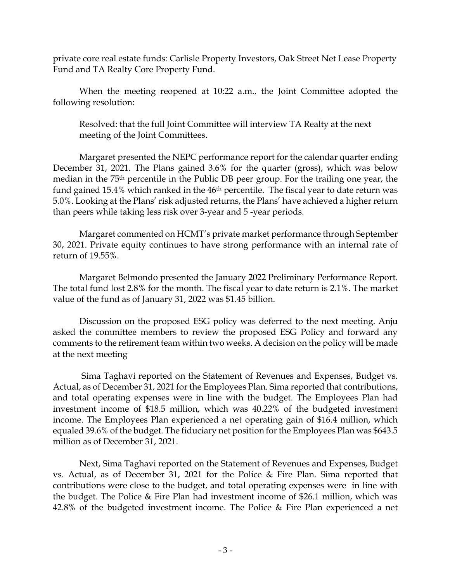private core real estate funds: Carlisle Property Investors, Oak Street Net Lease Property Fund and TA Realty Core Property Fund.

When the meeting reopened at 10:22 a.m., the Joint Committee adopted the following resolution:

Resolved: that the full Joint Committee will interview TA Realty at the next meeting of the Joint Committees.

Margaret presented the NEPC performance report for the calendar quarter ending December 31, 2021. The Plans gained 3.6% for the quarter (gross), which was below median in the 75th percentile in the Public DB peer group. For the trailing one year, the fund gained 15.4% which ranked in the 46<sup>th</sup> percentile. The fiscal year to date return was 5.0%. Looking at the Plans' risk adjusted returns, the Plans' have achieved a higher return than peers while taking less risk over 3-year and 5 -year periods.

Margaret commented on HCMT's private market performance through September 30, 2021. Private equity continues to have strong performance with an internal rate of return of 19.55%.

Margaret Belmondo presented the January 2022 Preliminary Performance Report. The total fund lost 2.8% for the month. The fiscal year to date return is 2.1%. The market value of the fund as of January 31, 2022 was \$1.45 billion.

Discussion on the proposed ESG policy was deferred to the next meeting. Anju asked the committee members to review the proposed ESG Policy and forward any comments to the retirement team within two weeks. A decision on the policy will be made at the next meeting

 Sima Taghavi reported on the Statement of Revenues and Expenses, Budget vs. Actual, as of December 31, 2021 for the Employees Plan. Sima reported that contributions, and total operating expenses were in line with the budget. The Employees Plan had investment income of \$18.5 million, which was 40.22% of the budgeted investment income. The Employees Plan experienced a net operating gain of \$16.4 million, which equaled 39.6% of the budget. The fiduciary net position for the Employees Plan was \$643.5 million as of December 31, 2021.

Next, Sima Taghavi reported on the Statement of Revenues and Expenses, Budget vs. Actual, as of December 31, 2021 for the Police & Fire Plan. Sima reported that contributions were close to the budget, and total operating expenses were in line with the budget. The Police & Fire Plan had investment income of \$26.1 million, which was 42.8% of the budgeted investment income. The Police & Fire Plan experienced a net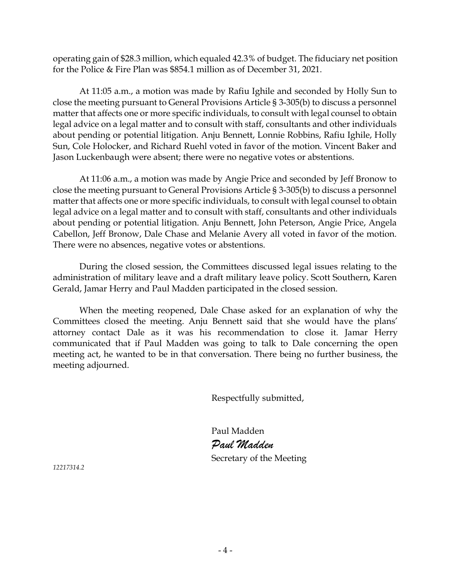operating gain of \$28.3 million, which equaled 42.3% of budget. The fiduciary net position for the Police & Fire Plan was \$854.1 million as of December 31, 2021.

At 11:05 a.m., a motion was made by Rafiu Ighile and seconded by Holly Sun to close the meeting pursuant to General Provisions Article § 3-305(b) to discuss a personnel matter that affects one or more specific individuals, to consult with legal counsel to obtain legal advice on a legal matter and to consult with staff, consultants and other individuals about pending or potential litigation. Anju Bennett, Lonnie Robbins, Rafiu Ighile, Holly Sun, Cole Holocker, and Richard Ruehl voted in favor of the motion. Vincent Baker and Jason Luckenbaugh were absent; there were no negative votes or abstentions.

At 11:06 a.m., a motion was made by Angie Price and seconded by Jeff Bronow to close the meeting pursuant to General Provisions Article § 3-305(b) to discuss a personnel matter that affects one or more specific individuals, to consult with legal counsel to obtain legal advice on a legal matter and to consult with staff, consultants and other individuals about pending or potential litigation. Anju Bennett, John Peterson, Angie Price, Angela Cabellon, Jeff Bronow, Dale Chase and Melanie Avery all voted in favor of the motion. There were no absences, negative votes or abstentions.

During the closed session, the Committees discussed legal issues relating to the administration of military leave and a draft military leave policy. Scott Southern, Karen Gerald, Jamar Herry and Paul Madden participated in the closed session.

When the meeting reopened, Dale Chase asked for an explanation of why the Committees closed the meeting. Anju Bennett said that she would have the plans' attorney contact Dale as it was his recommendation to close it. Jamar Herry communicated that if Paul Madden was going to talk to Dale concerning the open meeting act, he wanted to be in that conversation. There being no further business, the meeting adjourned.

Respectfully submitted,

Paul Madden *Paul Madden* Secretary of the Meeting

*12217314.2*